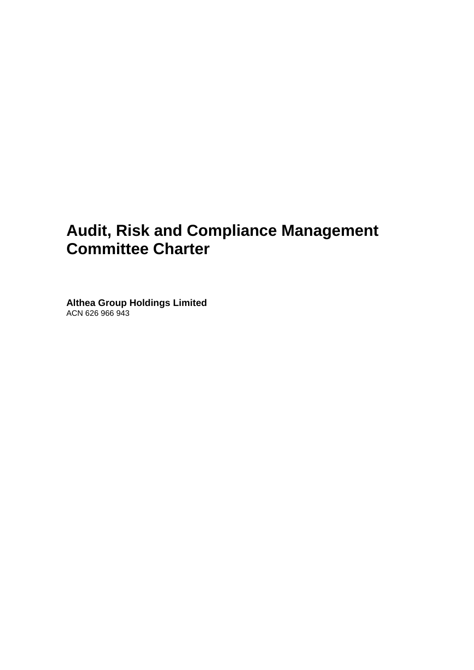# **Audit, Risk and Compliance Management Committee Charter**

**Althea Group Holdings Limited** ACN 626 966 943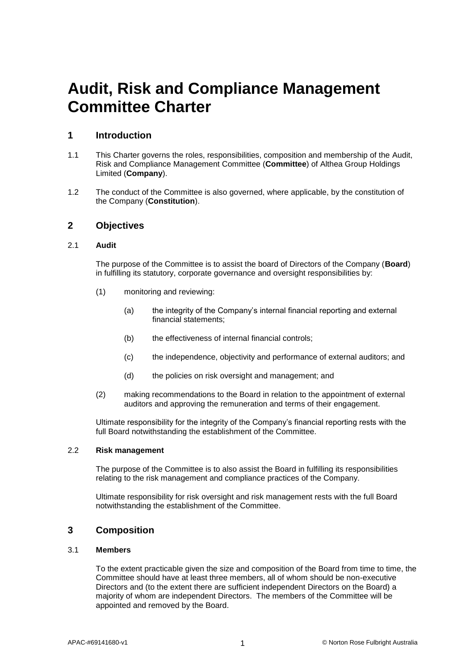# **Audit, Risk and Compliance Management Committee Charter**

# **1 Introduction**

- 1.1 This Charter governs the roles, responsibilities, composition and membership of the Audit, Risk and Compliance Management Committee (**Committee**) of Althea Group Holdings Limited (**Company**).
- 1.2 The conduct of the Committee is also governed, where applicable, by the constitution of the Company (**Constitution**).

# **2 Objectives**

# 2.1 **Audit**

The purpose of the Committee is to assist the board of Directors of the Company (**Board**) in fulfilling its statutory, corporate governance and oversight responsibilities by:

- (1) monitoring and reviewing:
	- (a) the integrity of the Company's internal financial reporting and external financial statements;
	- (b) the effectiveness of internal financial controls;
	- (c) the independence, objectivity and performance of external auditors; and
	- (d) the policies on risk oversight and management; and
- (2) making recommendations to the Board in relation to the appointment of external auditors and approving the remuneration and terms of their engagement.

Ultimate responsibility for the integrity of the Company's financial reporting rests with the full Board notwithstanding the establishment of the Committee.

## 2.2 **Risk management**

The purpose of the Committee is to also assist the Board in fulfilling its responsibilities relating to the risk management and compliance practices of the Company.

Ultimate responsibility for risk oversight and risk management rests with the full Board notwithstanding the establishment of the Committee.

# **3 Composition**

#### 3.1 **Members**

To the extent practicable given the size and composition of the Board from time to time, the Committee should have at least three members, all of whom should be non-executive Directors and (to the extent there are sufficient independent Directors on the Board) a majority of whom are independent Directors. The members of the Committee will be appointed and removed by the Board.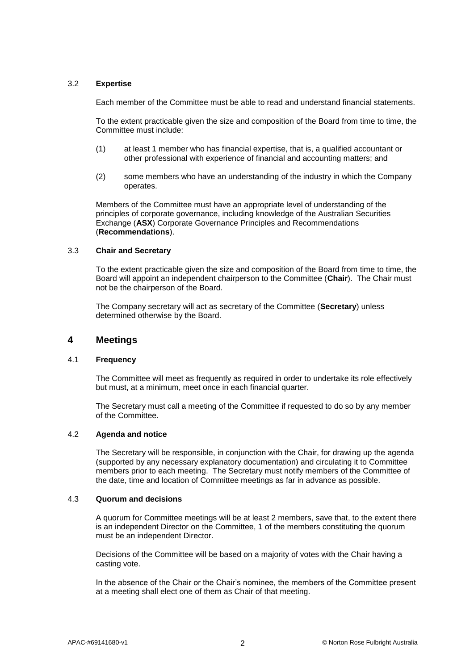## 3.2 **Expertise**

Each member of the Committee must be able to read and understand financial statements.

To the extent practicable given the size and composition of the Board from time to time, the Committee must include:

- (1) at least 1 member who has financial expertise, that is, a qualified accountant or other professional with experience of financial and accounting matters; and
- (2) some members who have an understanding of the industry in which the Company operates.

Members of the Committee must have an appropriate level of understanding of the principles of corporate governance, including knowledge of the Australian Securities Exchange (**ASX**) Corporate Governance Principles and Recommendations (**Recommendations**).

#### 3.3 **Chair and Secretary**

To the extent practicable given the size and composition of the Board from time to time, the Board will appoint an independent chairperson to the Committee (**Chair**). The Chair must not be the chairperson of the Board.

The Company secretary will act as secretary of the Committee (**Secretary**) unless determined otherwise by the Board.

# **4 Meetings**

#### 4.1 **Frequency**

The Committee will meet as frequently as required in order to undertake its role effectively but must, at a minimum, meet once in each financial quarter.

The Secretary must call a meeting of the Committee if requested to do so by any member of the Committee.

#### 4.2 **Agenda and notice**

The Secretary will be responsible, in conjunction with the Chair, for drawing up the agenda (supported by any necessary explanatory documentation) and circulating it to Committee members prior to each meeting. The Secretary must notify members of the Committee of the date, time and location of Committee meetings as far in advance as possible.

#### 4.3 **Quorum and decisions**

A quorum for Committee meetings will be at least 2 members, save that, to the extent there is an independent Director on the Committee, 1 of the members constituting the quorum must be an independent Director.

Decisions of the Committee will be based on a majority of votes with the Chair having a casting vote.

In the absence of the Chair or the Chair's nominee, the members of the Committee present at a meeting shall elect one of them as Chair of that meeting.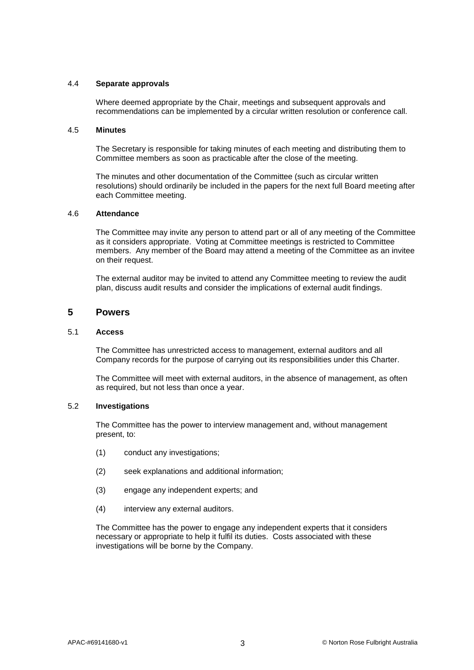#### 4.4 **Separate approvals**

Where deemed appropriate by the Chair, meetings and subsequent approvals and recommendations can be implemented by a circular written resolution or conference call.

#### 4.5 **Minutes**

The Secretary is responsible for taking minutes of each meeting and distributing them to Committee members as soon as practicable after the close of the meeting.

The minutes and other documentation of the Committee (such as circular written resolutions) should ordinarily be included in the papers for the next full Board meeting after each Committee meeting.

## 4.6 **Attendance**

The Committee may invite any person to attend part or all of any meeting of the Committee as it considers appropriate. Voting at Committee meetings is restricted to Committee members. Any member of the Board may attend a meeting of the Committee as an invitee on their request.

The external auditor may be invited to attend any Committee meeting to review the audit plan, discuss audit results and consider the implications of external audit findings.

# **5 Powers**

#### 5.1 **Access**

The Committee has unrestricted access to management, external auditors and all Company records for the purpose of carrying out its responsibilities under this Charter.

The Committee will meet with external auditors, in the absence of management, as often as required, but not less than once a year.

## 5.2 **Investigations**

The Committee has the power to interview management and, without management present, to:

- (1) conduct any investigations;
- (2) seek explanations and additional information;
- (3) engage any independent experts; and
- (4) interview any external auditors.

The Committee has the power to engage any independent experts that it considers necessary or appropriate to help it fulfil its duties. Costs associated with these investigations will be borne by the Company.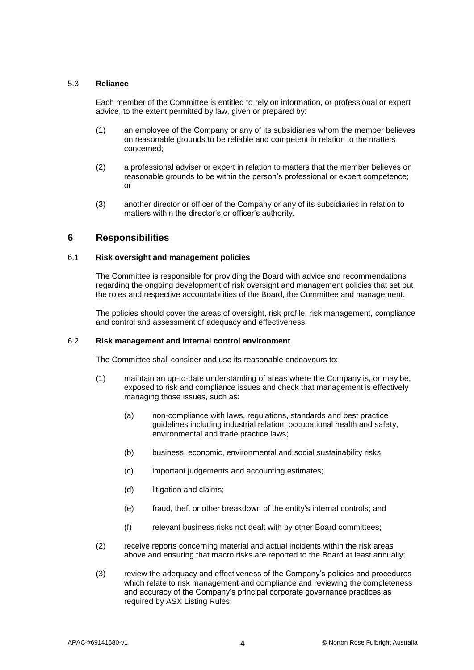## 5.3 **Reliance**

Each member of the Committee is entitled to rely on information, or professional or expert advice, to the extent permitted by law, given or prepared by:

- (1) an employee of the Company or any of its subsidiaries whom the member believes on reasonable grounds to be reliable and competent in relation to the matters concerned;
- (2) a professional adviser or expert in relation to matters that the member believes on reasonable grounds to be within the person's professional or expert competence; or
- (3) another director or officer of the Company or any of its subsidiaries in relation to matters within the director's or officer's authority.

# **6 Responsibilities**

## 6.1 **Risk oversight and management policies**

The Committee is responsible for providing the Board with advice and recommendations regarding the ongoing development of risk oversight and management policies that set out the roles and respective accountabilities of the Board, the Committee and management.

The policies should cover the areas of oversight, risk profile, risk management, compliance and control and assessment of adequacy and effectiveness.

#### 6.2 **Risk management and internal control environment**

The Committee shall consider and use its reasonable endeavours to:

- (1) maintain an up-to-date understanding of areas where the Company is, or may be, exposed to risk and compliance issues and check that management is effectively managing those issues, such as:
	- (a) non-compliance with laws, regulations, standards and best practice guidelines including industrial relation, occupational health and safety, environmental and trade practice laws;
	- (b) business, economic, environmental and social sustainability risks;
	- (c) important judgements and accounting estimates;
	- (d) litigation and claims;
	- (e) fraud, theft or other breakdown of the entity's internal controls; and
	- (f) relevant business risks not dealt with by other Board committees;
- (2) receive reports concerning material and actual incidents within the risk areas above and ensuring that macro risks are reported to the Board at least annually;
- (3) review the adequacy and effectiveness of the Company's policies and procedures which relate to risk management and compliance and reviewing the completeness and accuracy of the Company's principal corporate governance practices as required by ASX Listing Rules;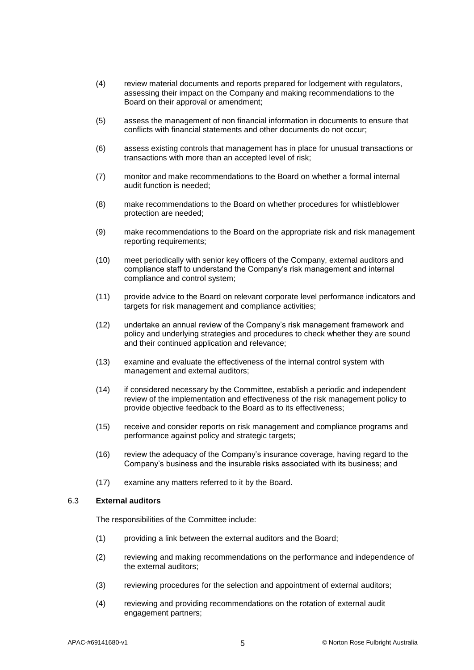- (4) review material documents and reports prepared for lodgement with regulators, assessing their impact on the Company and making recommendations to the Board on their approval or amendment;
- (5) assess the management of non financial information in documents to ensure that conflicts with financial statements and other documents do not occur;
- (6) assess existing controls that management has in place for unusual transactions or transactions with more than an accepted level of risk;
- (7) monitor and make recommendations to the Board on whether a formal internal audit function is needed;
- (8) make recommendations to the Board on whether procedures for whistleblower protection are needed;
- (9) make recommendations to the Board on the appropriate risk and risk management reporting requirements;
- (10) meet periodically with senior key officers of the Company, external auditors and compliance staff to understand the Company's risk management and internal compliance and control system;
- (11) provide advice to the Board on relevant corporate level performance indicators and targets for risk management and compliance activities;
- (12) undertake an annual review of the Company's risk management framework and policy and underlying strategies and procedures to check whether they are sound and their continued application and relevance;
- (13) examine and evaluate the effectiveness of the internal control system with management and external auditors;
- (14) if considered necessary by the Committee, establish a periodic and independent review of the implementation and effectiveness of the risk management policy to provide objective feedback to the Board as to its effectiveness;
- (15) receive and consider reports on risk management and compliance programs and performance against policy and strategic targets;
- (16) review the adequacy of the Company's insurance coverage, having regard to the Company's business and the insurable risks associated with its business; and
- (17) examine any matters referred to it by the Board.

#### 6.3 **External auditors**

The responsibilities of the Committee include:

- (1) providing a link between the external auditors and the Board;
- (2) reviewing and making recommendations on the performance and independence of the external auditors;
- (3) reviewing procedures for the selection and appointment of external auditors;
- (4) reviewing and providing recommendations on the rotation of external audit engagement partners;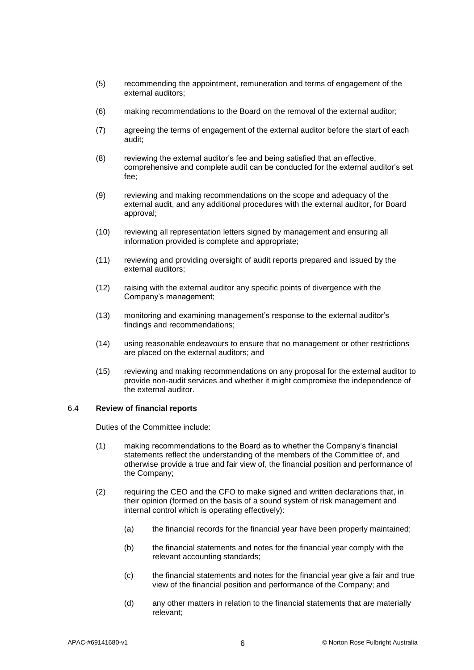- (5) recommending the appointment, remuneration and terms of engagement of the external auditors;
- (6) making recommendations to the Board on the removal of the external auditor;
- (7) agreeing the terms of engagement of the external auditor before the start of each audit;
- (8) reviewing the external auditor's fee and being satisfied that an effective, comprehensive and complete audit can be conducted for the external auditor's set fee;
- (9) reviewing and making recommendations on the scope and adequacy of the external audit, and any additional procedures with the external auditor, for Board approval;
- (10) reviewing all representation letters signed by management and ensuring all information provided is complete and appropriate;
- (11) reviewing and providing oversight of audit reports prepared and issued by the external auditors;
- (12) raising with the external auditor any specific points of divergence with the Company's management;
- (13) monitoring and examining management's response to the external auditor's findings and recommendations;
- (14) using reasonable endeavours to ensure that no management or other restrictions are placed on the external auditors; and
- (15) reviewing and making recommendations on any proposal for the external auditor to provide non-audit services and whether it might compromise the independence of the external auditor.

#### 6.4 **Review of financial reports**

Duties of the Committee include:

- (1) making recommendations to the Board as to whether the Company's financial statements reflect the understanding of the members of the Committee of, and otherwise provide a true and fair view of, the financial position and performance of the Company;
- (2) requiring the CEO and the CFO to make signed and written declarations that, in their opinion (formed on the basis of a sound system of risk management and internal control which is operating effectively):
	- (a) the financial records for the financial year have been properly maintained;
	- (b) the financial statements and notes for the financial year comply with the relevant accounting standards;
	- (c) the financial statements and notes for the financial year give a fair and true view of the financial position and performance of the Company; and
	- (d) any other matters in relation to the financial statements that are materially relevant;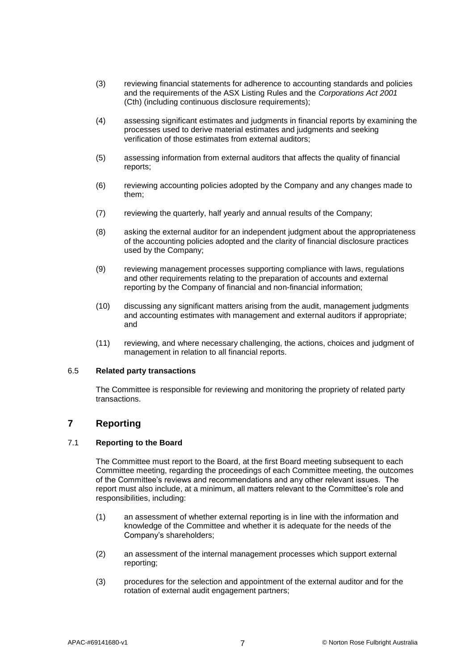- (3) reviewing financial statements for adherence to accounting standards and policies and the requirements of the ASX Listing Rules and the *Corporations Act 2001* (Cth) (including continuous disclosure requirements);
- (4) assessing significant estimates and judgments in financial reports by examining the processes used to derive material estimates and judgments and seeking verification of those estimates from external auditors;
- (5) assessing information from external auditors that affects the quality of financial reports;
- (6) reviewing accounting policies adopted by the Company and any changes made to them;
- (7) reviewing the quarterly, half yearly and annual results of the Company;
- (8) asking the external auditor for an independent judgment about the appropriateness of the accounting policies adopted and the clarity of financial disclosure practices used by the Company;
- (9) reviewing management processes supporting compliance with laws, regulations and other requirements relating to the preparation of accounts and external reporting by the Company of financial and non-financial information;
- (10) discussing any significant matters arising from the audit, management judgments and accounting estimates with management and external auditors if appropriate; and
- (11) reviewing, and where necessary challenging, the actions, choices and judgment of management in relation to all financial reports.

#### 6.5 **Related party transactions**

The Committee is responsible for reviewing and monitoring the propriety of related party transactions.

# **7 Reporting**

## 7.1 **Reporting to the Board**

The Committee must report to the Board, at the first Board meeting subsequent to each Committee meeting, regarding the proceedings of each Committee meeting, the outcomes of the Committee's reviews and recommendations and any other relevant issues. The report must also include, at a minimum, all matters relevant to the Committee's role and responsibilities, including:

- (1) an assessment of whether external reporting is in line with the information and knowledge of the Committee and whether it is adequate for the needs of the Company's shareholders;
- (2) an assessment of the internal management processes which support external reporting;
- (3) procedures for the selection and appointment of the external auditor and for the rotation of external audit engagement partners;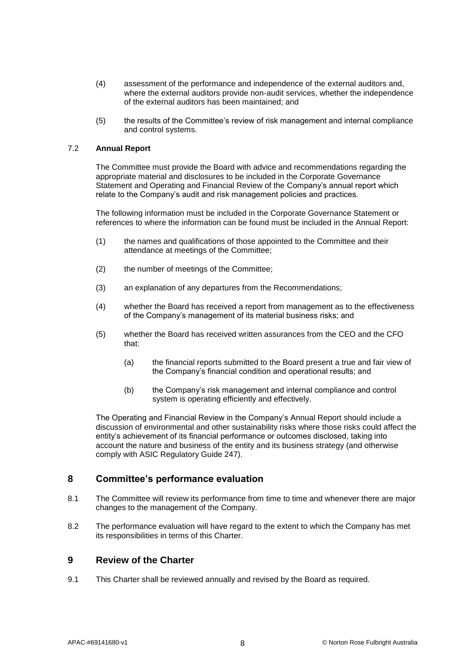- (4) assessment of the performance and independence of the external auditors and, where the external auditors provide non-audit services, whether the independence of the external auditors has been maintained; and
- (5) the results of the Committee's review of risk management and internal compliance and control systems.

## 7.2 **Annual Report**

The Committee must provide the Board with advice and recommendations regarding the appropriate material and disclosures to be included in the Corporate Governance Statement and Operating and Financial Review of the Company's annual report which relate to the Company's audit and risk management policies and practices.

The following information must be included in the Corporate Governance Statement or references to where the information can be found must be included in the Annual Report:

- (1) the names and qualifications of those appointed to the Committee and their attendance at meetings of the Committee;
- (2) the number of meetings of the Committee;
- (3) an explanation of any departures from the Recommendations;
- (4) whether the Board has received a report from management as to the effectiveness of the Company's management of its material business risks; and
- (5) whether the Board has received written assurances from the CEO and the CFO that:
	- (a) the financial reports submitted to the Board present a true and fair view of the Company's financial condition and operational results; and
	- (b) the Company's risk management and internal compliance and control system is operating efficiently and effectively.

The Operating and Financial Review in the Company's Annual Report should include a discussion of environmental and other sustainability risks where those risks could affect the entity's achievement of its financial performance or outcomes disclosed, taking into account the nature and business of the entity and its business strategy (and otherwise comply with ASIC Regulatory Guide 247).

# **8 Committee's performance evaluation**

- 8.1 The Committee will review its performance from time to time and whenever there are major changes to the management of the Company.
- 8.2 The performance evaluation will have regard to the extent to which the Company has met its responsibilities in terms of this Charter.

# **9 Review of the Charter**

9.1 This Charter shall be reviewed annually and revised by the Board as required.